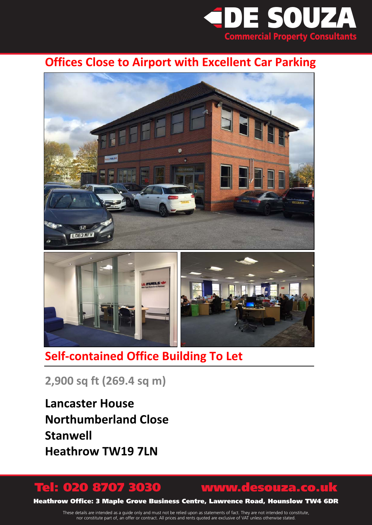

# **Offices Close to Airport with Excellent Car Parking**



# **Self-contained Office Building To Let**

**2,900 sq ft (269.4 sq m)**

**Lancaster House Northumberland Close Stanwell Heathrow TW19 7LN**

# Tel: 020 8707 3030 www.desouza.co.uk

Heathrow Office: 3 Maple Grove Business Centre, Lawrence Road, Hounslow TW4 6DR

These details are intended as a guide only and must not be relied upon as statements of fact. They are not intended to constitute, nor constitute part of, an offer or contract. All prices and rents quoted are exclusive of VAT unless otherwise stated.